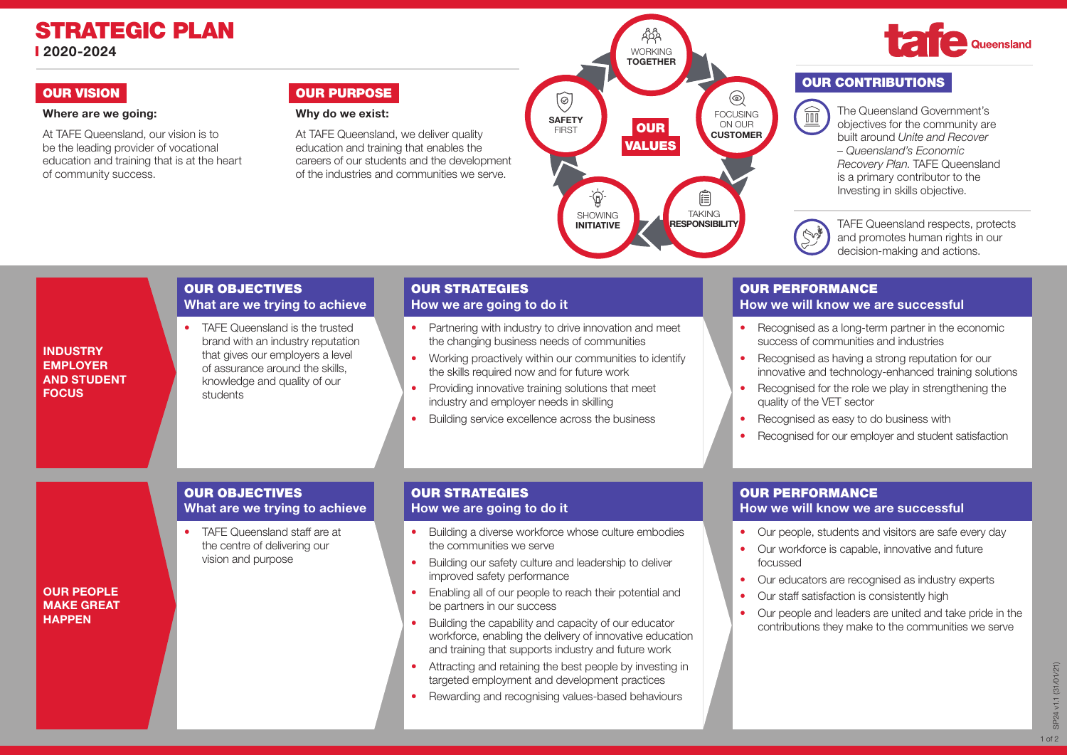### STRATEGIC PLAN 2020-2024

INDUSTRY EMPLOYER AND STUDENT **FOCUS** 

### Where are we going:

At TAFE Queensland, our vision is to be the leading provider of vocational education and training that is at the heart of community success.

### OUR VISION **OUR VISION**

### Why do we exist:

At TAFE Queensland, we deliver quality education and training that enables the careers of our students and the development of the industries and communities we serve.



# Queensland

### OUR CONTRIBUTIONS

 $\widehat{\mathbb{H}}$ 

The Queensland Government's objectives for the community are built around *Unite and Recover – Queensland's Economic Recovery Plan*. TAFE Queensland is a primary contributor to the Investing in skills objective.

TAFE Queensland respects, protects N and promotes human rights in our decision-making and actions.

## OUR PERFORMANCE

### How we will know we are successful

- Recognised as a long-term partner in the economic success of communities and industries
- Recognised as having a strong reputation for our innovative and technology-enhanced training solutions
- Recognised for the role we play in strengthening the quality of the VET sector
- Recognised as easy to do business with
- Recognised for our employer and student satisfaction

# OUR OBJECTIVES

OUR OBJECTIVES

students

What are we trying to achieve TAFE Queensland is the trusted brand with an industry reputation that gives our employers a level of assurance around the skills, knowledge and quality of our

• TAFF Queensland staff are at the centre of delivering our vision and purpose

OUR PEOPLE MAKE GREAT **HAPPEN** 

## What are we trying to achieve

### OUR STRATEGIES How we are going to do it

OUR STRATEGIES How we are going to do it

• Building a diverse workforce whose culture embodies the communities we serve

• Partnering with industry to drive innovation and meet the changing business needs of communities • Working proactively within our communities to identify the skills required now and for future work • Providing innovative training solutions that meet industry and employer needs in skilling

• Building service excellence across the business

- Building our safety culture and leadership to deliver improved safety performance
- Enabling all of our people to reach their potential and be partners in our success
- Building the capability and capacity of our educator workforce, enabling the delivery of innovative education and training that supports industry and future work
- Attracting and retaining the best people by investing in targeted employment and development practices
- Rewarding and recognising values-based behaviours

### OUR PERFORMANCE How we will know we are successful

- Our people, students and visitors are safe every day
- Our workforce is capable, innovative and future focussed
- Our educators are recognised as industry experts
- Our staff satisfaction is consistently high
- Our people and leaders are united and take pride in the contributions they make to the communities we serve